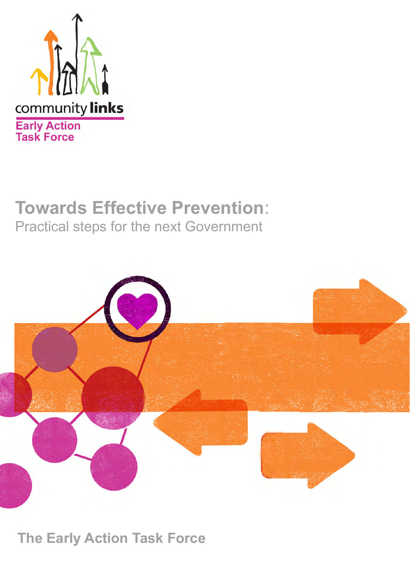

# **Towards Effective Prevention**: Practical steps for the next Government



**The Early Action Task Force**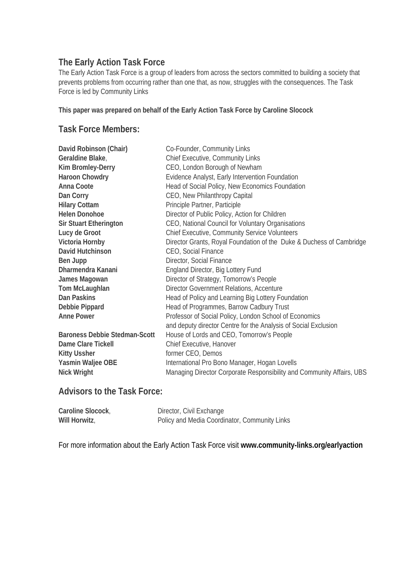### **The Early Action Task Force**

The Early Action Task Force is a group of leaders from across the sectors committed to building a society that prevents problems from occurring rather than one that, as now, struggles with the consequences. The Task Force is led by Community Links

**This paper was prepared on behalf of the Early Action Task Force by Caroline Slocock** 

### **Task Force Members:**

| David Robinson (Chair)               | Co-Founder, Community Links                                           |
|--------------------------------------|-----------------------------------------------------------------------|
| Geraldine Blake,                     | <b>Chief Executive, Community Links</b>                               |
| <b>Kim Bromley-Derry</b>             | CEO, London Borough of Newham                                         |
| <b>Haroon Chowdry</b>                | Evidence Analyst, Early Intervention Foundation                       |
| Anna Coote                           | Head of Social Policy, New Economics Foundation                       |
| Dan Corry                            | CEO, New Philanthropy Capital                                         |
| <b>Hilary Cottam</b>                 | Principle Partner, Participle                                         |
| <b>Helen Donohoe</b>                 | Director of Public Policy, Action for Children                        |
| <b>Sir Stuart Etherington</b>        | CEO, National Council for Voluntary Organisations                     |
| Lucy de Groot                        | <b>Chief Executive, Community Service Volunteers</b>                  |
| Victoria Hornby                      | Director Grants, Royal Foundation of the Duke & Duchess of Cambridge  |
| David Hutchinson                     | CEO, Social Finance                                                   |
| Ben Jupp                             | Director, Social Finance                                              |
| Dharmendra Kanani                    | England Director, Big Lottery Fund                                    |
| James Magowan                        | Director of Strategy, Tomorrow's People                               |
| Tom McLaughlan                       | Director Government Relations, Accenture                              |
| <b>Dan Paskins</b>                   | Head of Policy and Learning Big Lottery Foundation                    |
| Debbie Pippard                       | Head of Programmes, Barrow Cadbury Trust                              |
| <b>Anne Power</b>                    | Professor of Social Policy, London School of Economics                |
|                                      | and deputy director Centre for the Analysis of Social Exclusion       |
| <b>Baroness Debbie Stedman-Scott</b> | House of Lords and CEO, Tomorrow's People                             |
| Dame Clare Tickell                   | Chief Executive, Hanover                                              |
| <b>Kitty Ussher</b>                  | former CEO, Demos                                                     |
| Yasmin Waljee OBE                    | International Pro Bono Manager, Hogan Lovells                         |
| <b>Nick Wright</b>                   | Managing Director Corporate Responsibility and Community Affairs, UBS |

## **Advisors to the Task Force:**

| Caroline Slocock, | Director, Civil Exchange                      |
|-------------------|-----------------------------------------------|
| Will Horwitz,     | Policy and Media Coordinator, Community Links |

For more information about the Early Action Task Force visit **www.community-links.org/earlyaction**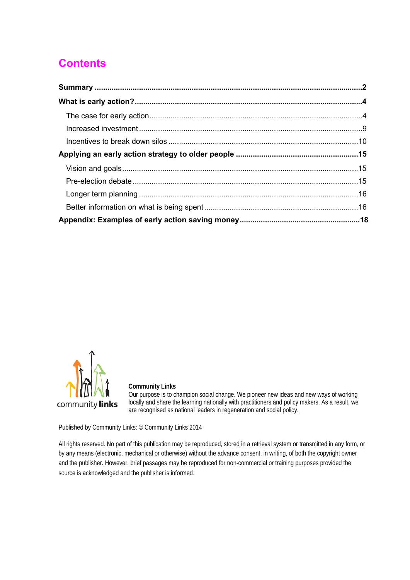# **Contents**



### **Community Links**

Our purpose is to champion social change. We pioneer new ideas and new ways of working locally and share the learning nationally with practitioners and policy makers. As a result, we are recognised as national leaders in regeneration and social policy.

Published by Community Links: © Community Links 2014

All rights reserved. No part of this publication may be reproduced, stored in a retrieval system or transmitted in any form, or by any means (electronic, mechanical or otherwise) without the advance consent, in writing, of both the copyright owner and the publisher. However, brief passages may be reproduced for non-commercial or training purposes provided the source is acknowledged and the publisher is informed.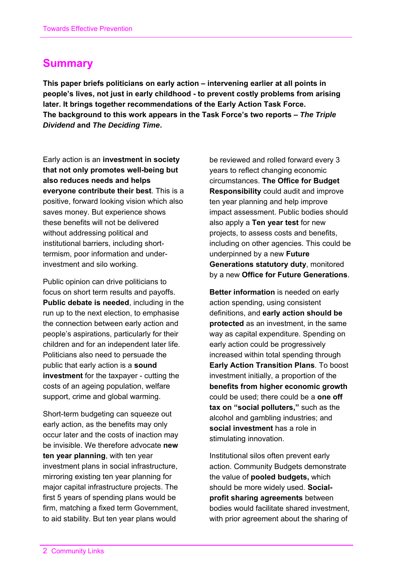# **Summary**

**This paper briefs politicians on early action – intervening earlier at all points in people's lives, not just in early childhood - to prevent costly problems from arising later. It brings together recommendations of the Early Action Task Force. The background to this work appears in the Task Force's two reports –** *The Triple Dividend* **and** *The Deciding Time***.** 

Early action is an **investment in society that not only promotes well-being but also reduces needs and helps everyone contribute their best**. This is a positive, forward looking vision which also saves money. But experience shows these benefits will not be delivered without addressing political and institutional barriers, including shorttermism, poor information and underinvestment and silo working.

Public opinion can drive politicians to focus on short term results and payoffs. **Public debate is needed**, including in the run up to the next election, to emphasise the connection between early action and people's aspirations, particularly for their children and for an independent later life. Politicians also need to persuade the public that early action is a **sound investment** for the taxpayer - cutting the costs of an ageing population, welfare support, crime and global warming.

Short-term budgeting can squeeze out early action, as the benefits may only occur later and the costs of inaction may be invisible. We therefore advocate **new ten year planning**, with ten year investment plans in social infrastructure, mirroring existing ten year planning for major capital infrastructure projects. The first 5 years of spending plans would be firm, matching a fixed term Government, to aid stability. But ten year plans would

be reviewed and rolled forward every 3 years to reflect changing economic circumstances. **The Office for Budget Responsibility** could audit and improve ten year planning and help improve impact assessment. Public bodies should also apply a **Ten year test** for new projects, to assess costs and benefits, including on other agencies. This could be underpinned by a new **Future Generations statutory duty**, monitored by a new **Office for Future Generations**.

**Better information** is needed on early action spending, using consistent definitions, and **early action should be protected** as an investment, in the same way as capital expenditure. Spending on early action could be progressively increased within total spending through **Early Action Transition Plans**. To boost investment initially, a proportion of the **benefits from higher economic growth** could be used; there could be a **one off tax on "social polluters,"** such as the alcohol and gambling industries; and **social investment** has a role in stimulating innovation.

Institutional silos often prevent early action. Community Budgets demonstrate the value of **pooled budgets,** which should be more widely used. **Socialprofit sharing agreements** between bodies would facilitate shared investment, with prior agreement about the sharing of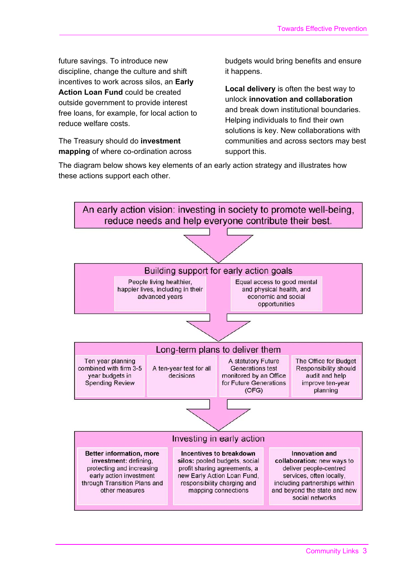future savings. To introduce new discipline, change the culture and shift incentives to work across silos, an **Early Action Loan Fund** could be created outside government to provide interest free loans, for example, for local action to reduce welfare costs.

The Treasury should do **investment mapping** of where co-ordination across

budgets would bring benefits and ensure it happens.

**Local delivery** is often the best way to unlock **innovation and collaboration** and break down institutional boundaries. Helping individuals to find their own solutions is key. New collaborations with communities and across sectors may best support this.

The diagram below shows key elements of an early action strategy and illustrates how these actions support each other.

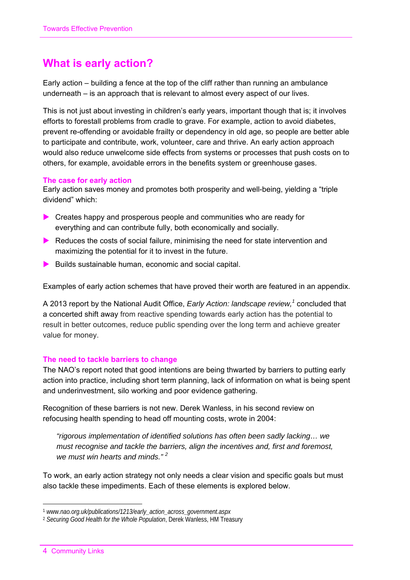# **What is early action?**

Early action – building a fence at the top of the cliff rather than running an ambulance underneath – is an approach that is relevant to almost every aspect of our lives.

This is not just about investing in children's early years, important though that is; it involves efforts to forestall problems from cradle to grave. For example, action to avoid diabetes, prevent re-offending or avoidable frailty or dependency in old age, so people are better able to participate and contribute, work, volunteer, care and thrive. An early action approach would also reduce unwelcome side effects from systems or processes that push costs on to others, for example, avoidable errors in the benefits system or greenhouse gases.

### **The case for early action**

Early action saves money and promotes both prosperity and well-being, yielding a "triple dividend" which:

- Creates happy and prosperous people and communities who are ready for everything and can contribute fully, both economically and socially.
- $\blacktriangleright$  Reduces the costs of social failure, minimising the need for state intervention and maximizing the potential for it to invest in the future.
- $\blacktriangleright$  Builds sustainable human, economic and social capital.

Examples of early action schemes that have proved their worth are featured in an appendix.

A 2013 report by the National Audit Office, *Early Action: landscape review*,<sup>1</sup> concluded that a concerted shift away from reactive spending towards early action has the potential to result in better outcomes, reduce public spending over the long term and achieve greater value for money.

### **The need to tackle barriers to change**

The NAO's report noted that good intentions are being thwarted by barriers to putting early action into practice, including short term planning, lack of information on what is being spent and underinvestment, silo working and poor evidence gathering.

Recognition of these barriers is not new. Derek Wanless, in his second review on refocusing health spending to head off mounting costs, wrote in 2004:

*"rigorous implementation of identified solutions has often been sadly lacking… we must recognise and tackle the barriers, align the incentives and, first and foremost,*  we must win hearts and minds."<sup>2</sup>

To work, an early action strategy not only needs a clear vision and specific goals but must also tackle these impediments. Each of these elements is explored below.

 $\overline{a}$ 

<sup>1</sup> *www.nao.org.uk/publications/1213/early\_action\_across\_government.aspx*

<sup>2</sup> *Securing Good Health for the Whole Population*, Derek Wanless, HM Treasury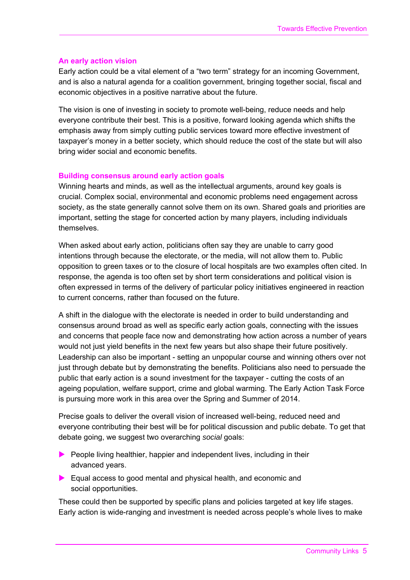### **An early action vision**

Early action could be a vital element of a "two term" strategy for an incoming Government, and is also a natural agenda for a coalition government, bringing together social, fiscal and economic objectives in a positive narrative about the future.

The vision is one of investing in society to promote well-being, reduce needs and help everyone contribute their best. This is a positive, forward looking agenda which shifts the emphasis away from simply cutting public services toward more effective investment of taxpayer's money in a better society, which should reduce the cost of the state but will also bring wider social and economic benefits.

### **Building consensus around early action goals**

Winning hearts and minds, as well as the intellectual arguments, around key goals is crucial. Complex social, environmental and economic problems need engagement across society, as the state generally cannot solve them on its own. Shared goals and priorities are important, setting the stage for concerted action by many players, including individuals themselves.

When asked about early action, politicians often say they are unable to carry good intentions through because the electorate, or the media, will not allow them to. Public opposition to green taxes or to the closure of local hospitals are two examples often cited. In response, the agenda is too often set by short term considerations and political vision is often expressed in terms of the delivery of particular policy initiatives engineered in reaction to current concerns, rather than focused on the future.

A shift in the dialogue with the electorate is needed in order to build understanding and consensus around broad as well as specific early action goals, connecting with the issues and concerns that people face now and demonstrating how action across a number of years would not just yield benefits in the next few years but also shape their future positively. Leadership can also be important - setting an unpopular course and winning others over not just through debate but by demonstrating the benefits. Politicians also need to persuade the public that early action is a sound investment for the taxpayer - cutting the costs of an ageing population, welfare support, crime and global warming. The Early Action Task Force is pursuing more work in this area over the Spring and Summer of 2014.

Precise goals to deliver the overall vision of increased well-being, reduced need and everyone contributing their best will be for political discussion and public debate. To get that debate going, we suggest two overarching *social* goals:

- $\blacktriangleright$  People living healthier, happier and independent lives, including in their advanced years.
- Equal access to good mental and physical health, and economic and social opportunities.

These could then be supported by specific plans and policies targeted at key life stages. Early action is wide-ranging and investment is needed across people's whole lives to make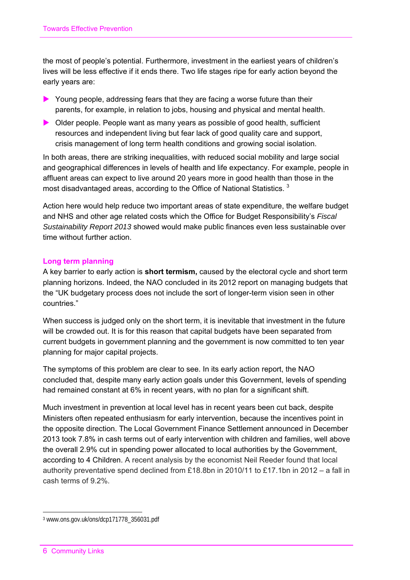the most of people's potential. Furthermore, investment in the earliest years of children's lives will be less effective if it ends there. Two life stages ripe for early action beyond the early years are:

- Young people, addressing fears that they are facing a worse future than their parents, for example, in relation to jobs, housing and physical and mental health.
- Older people. People want as many years as possible of good health, sufficient resources and independent living but fear lack of good quality care and support, crisis management of long term health conditions and growing social isolation.

In both areas, there are striking inequalities, with reduced social mobility and large social and geographical differences in levels of health and life expectancy. For example, people in affluent areas can expect to live around 20 years more in good health than those in the most disadvantaged areas, according to the Office of National Statistics.<sup>3</sup>

Action here would help reduce two important areas of state expenditure, the welfare budget and NHS and other age related costs which the Office for Budget Responsibility's *Fiscal Sustainability Report 2013* showed would make public finances even less sustainable over time without further action.

### **Long term planning**

A key barrier to early action is **short termism,** caused by the electoral cycle and short term planning horizons. Indeed, the NAO concluded in its 2012 report on managing budgets that the "UK budgetary process does not include the sort of longer-term vision seen in other countries."

When success is judged only on the short term, it is inevitable that investment in the future will be crowded out. It is for this reason that capital budgets have been separated from current budgets in government planning and the government is now committed to ten year planning for major capital projects.

The symptoms of this problem are clear to see. In its early action report, the NAO concluded that, despite many early action goals under this Government, levels of spending had remained constant at 6% in recent years, with no plan for a significant shift.

Much investment in prevention at local level has in recent years been cut back, despite Ministers often repeated enthusiasm for early intervention, because the incentives point in the opposite direction. The Local Government Finance Settlement announced in December 2013 took 7.8% in cash terms out of early intervention with children and families, well above the overall 2.9% cut in spending power allocated to local authorities by the Government, according to 4 Children. A recent analysis by the economist Neil Reeder found that local authority preventative spend declined from £18.8bn in 2010/11 to £17.1bn in 2012 – a fall in cash terms of 9.2%.

 $\overline{a}$ 

<sup>3</sup> www.ons.gov.uk/ons/dcp171778\_356031.pdf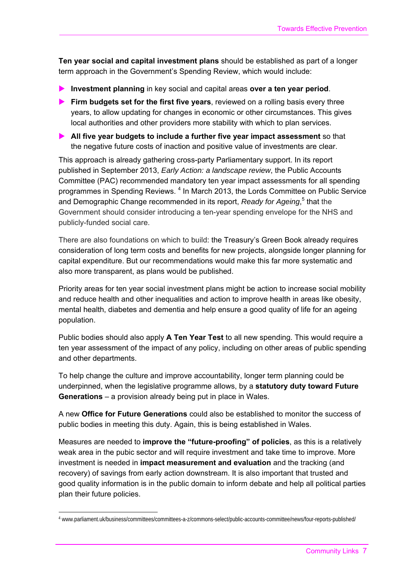**Ten year social and capital investment plans** should be established as part of a longer term approach in the Government's Spending Review, which would include:

- **Investment planning** in key social and capital areas **over a ten year period**.
- **Firm budgets set for the first five years**, reviewed on a rolling basis every three years, to allow updating for changes in economic or other circumstances. This gives local authorities and other providers more stability with which to plan services.
- **All five year budgets to include a further five year impact assessment** so that the negative future costs of inaction and positive value of investments are clear.

This approach is already gathering cross-party Parliamentary support. In its report published in September 2013, *Early Action: a landscape review*, the Public Accounts Committee (PAC) recommended mandatory ten year impact assessments for all spending programmes in Spending Reviews.<sup>4</sup> In March 2013, the Lords Committee on Public Service and Demographic Change recommended in its report, *Ready for Ageing*,<sup>5</sup> that the Government should consider introducing a ten-year spending envelope for the NHS and publicly-funded social care.

There are also foundations on which to build: the Treasury's Green Book already requires consideration of long term costs and benefits for new projects, alongside longer planning for capital expenditure. But our recommendations would make this far more systematic and also more transparent, as plans would be published.

Priority areas for ten year social investment plans might be action to increase social mobility and reduce health and other inequalities and action to improve health in areas like obesity, mental health, diabetes and dementia and help ensure a good quality of life for an ageing population.

Public bodies should also apply **A Ten Year Test** to all new spending. This would require a ten year assessment of the impact of any policy, including on other areas of public spending and other departments.

To help change the culture and improve accountability, longer term planning could be underpinned, when the legislative programme allows, by a **statutory duty toward Future Generations** – a provision already being put in place in Wales.

A new **Office for Future Generations** could also be established to monitor the success of public bodies in meeting this duty. Again, this is being established in Wales.

Measures are needed to **improve the "future-proofing" of policies**, as this is a relatively weak area in the pubic sector and will require investment and take time to improve. More investment is needed in **impact measurement and evaluation** and the tracking (and recovery) of savings from early action downstream. It is also important that trusted and good quality information is in the public domain to inform debate and help all political parties plan their future policies.

<sup>-</sup>4 www.parliament.uk/business/committees/committees-a-z/commons-select/public-accounts-committee/news/four-reports-published/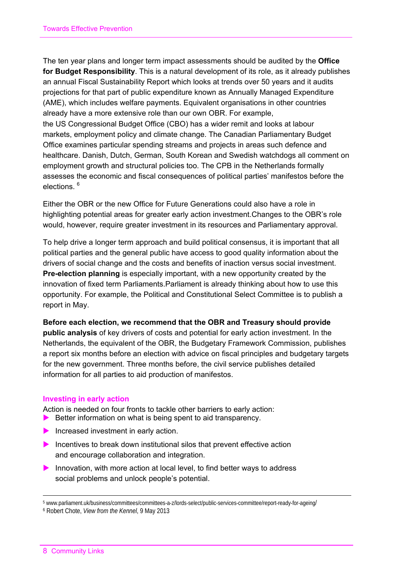The ten year plans and longer term impact assessments should be audited by the **Office for Budget Responsibility**. This is a natural development of its role, as it already publishes an annual Fiscal Sustainability Report which looks at trends over 50 years and it audits projections for that part of public expenditure known as Annually Managed Expenditure (AME), which includes welfare payments. Equivalent organisations in other countries already have a more extensive role than our own OBR. For example, the US Congressional Budget Office (CBO) has a wider remit and looks at labour markets, employment policy and climate change. The Canadian Parliamentary Budget Office examines particular spending streams and projects in areas such defence and healthcare. Danish, Dutch, German, South Korean and Swedish watchdogs all comment on employment growth and structural policies too. The CPB in the Netherlands formally assesses the economic and fiscal consequences of political parties' manifestos before the elections 6

Either the OBR or the new Office for Future Generations could also have a role in highlighting potential areas for greater early action investment.Changes to the OBR's role would, however, require greater investment in its resources and Parliamentary approval.

To help drive a longer term approach and build political consensus, it is important that all political parties and the general public have access to good quality information about the drivers of social change and the costs and benefits of inaction versus social investment. **Pre-election planning** is especially important, with a new opportunity created by the innovation of fixed term Parliaments.Parliament is already thinking about how to use this opportunity. For example, the Political and Constitutional Select Committee is to publish a report in May.

**Before each election, we recommend that the OBR and Treasury should provide public analysis** of key drivers of costs and potential for early action investment. In the Netherlands, the equivalent of the OBR, the Budgetary Framework Commission, publishes a report six months before an election with advice on fiscal principles and budgetary targets for the new government. Three months before, the civil service publishes detailed information for all parties to aid production of manifestos.

### **Investing in early action**

Action is needed on four fronts to tackle other barriers to early action:

- $\blacktriangleright$  Better information on what is being spent to aid transparency.
- Increased investment in early action.
- Incentives to break down institutional silos that prevent effective action and encourage collaboration and integration.
- Innovation, with more action at local level, to find better ways to address social problems and unlock people's potential.

-

<sup>5</sup> www.parliament.uk/business/committees/committees-a-z/lords-select/public-services-committee/report-ready-for-ageing/

<sup>6</sup> Robert Chote, *View from the Kennel*, 9 May 2013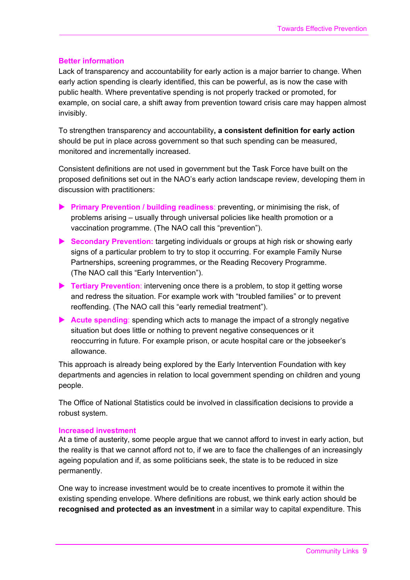### **Better information**

Lack of transparency and accountability for early action is a major barrier to change. When early action spending is clearly identified, this can be powerful, as is now the case with public health. Where preventative spending is not properly tracked or promoted, for example, on social care, a shift away from prevention toward crisis care may happen almost invisibly.

To strengthen transparency and accountability**, a consistent definition for early action** should be put in place across government so that such spending can be measured, monitored and incrementally increased.

Consistent definitions are not used in government but the Task Force have built on the proposed definitions set out in the NAO's early action landscape review, developing them in discussion with practitioners:

- **Primary Prevention / building readiness:** preventing, or minimising the risk, of problems arising – usually through universal policies like health promotion or a vaccination programme. (The NAO call this "prevention").
- **Secondary Prevention:** targeting individuals or groups at high risk or showing early signs of a particular problem to try to stop it occurring. For example Family Nurse Partnerships, screening programmes, or the Reading Recovery Programme. (The NAO call this "Early Intervention").
- **Tertiary Prevention**: intervening once there is a problem, to stop it getting worse and redress the situation. For example work with "troubled families" or to prevent reoffending. (The NAO call this "early remedial treatment").
- **Acute spending**: spending which acts to manage the impact of a strongly negative situation but does little or nothing to prevent negative consequences or it reoccurring in future. For example prison, or acute hospital care or the jobseeker's allowance.

This approach is already being explored by the Early Intervention Foundation with key departments and agencies in relation to local government spending on children and young people.

The Office of National Statistics could be involved in classification decisions to provide a robust system.

### **Increased investment**

At a time of austerity, some people argue that we cannot afford to invest in early action, but the reality is that we cannot afford not to, if we are to face the challenges of an increasingly ageing population and if, as some politicians seek, the state is to be reduced in size permanently.

One way to increase investment would be to create incentives to promote it within the existing spending envelope. Where definitions are robust, we think early action should be **recognised and protected as an investment** in a similar way to capital expenditure. This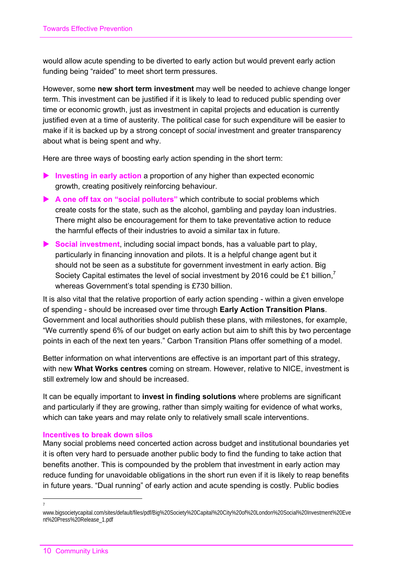would allow acute spending to be diverted to early action but would prevent early action funding being "raided" to meet short term pressures.

However, some **new short term investment** may well be needed to achieve change longer term. This investment can be justified if it is likely to lead to reduced public spending over time or economic growth, just as investment in capital projects and education is currently justified even at a time of austerity. The political case for such expenditure will be easier to make if it is backed up by a strong concept of *social* investment and greater transparency about what is being spent and why.

Here are three ways of boosting early action spending in the short term:

- **Investing in early action** a proportion of any higher than expected economic growth, creating positively reinforcing behaviour.
- **A one off tax on "social polluters"** which contribute to social problems which create costs for the state, such as the alcohol, gambling and payday loan industries. There might also be encouragement for them to take preventative action to reduce the harmful effects of their industries to avoid a similar tax in future.
- **Social investment**, including social impact bonds, has a valuable part to play, particularly in financing innovation and pilots. It is a helpful change agent but it should not be seen as a substitute for government investment in early action. Big Society Capital estimates the level of social investment by 2016 could be £1 billion.<sup>7</sup> whereas Government's total spending is £730 billion.

It is also vital that the relative proportion of early action spending - within a given envelope of spending - should be increased over time through **Early Action Transition Plans**. Government and local authorities should publish these plans, with milestones, for example, "We currently spend 6% of our budget on early action but aim to shift this by two percentage points in each of the next ten years." Carbon Transition Plans offer something of a model.

Better information on what interventions are effective is an important part of this strategy, with new **What Works centres** coming on stream. However, relative to NICE, investment is still extremely low and should be increased.

It can be equally important to **invest in finding solutions** where problems are significant and particularly if they are growing, rather than simply waiting for evidence of what works, which can take years and may relate only to relatively small scale interventions.

### **Incentives to break down silos**

Many social problems need concerted action across budget and institutional boundaries yet it is often very hard to persuade another public body to find the funding to take action that benefits another. This is compounded by the problem that investment in early action may reduce funding for unavoidable obligations in the short run even if it is likely to reap benefits in future years. "Dual running" of early action and acute spending is costly. Public bodies

 $\overline{a}$ 7

www.bigsocietycapital.com/sites/default/files/pdf/Big%20Society%20Capital%20City%20of%20London%20Social%20Investment%20Eve nt%20Press%20Release\_1.pdf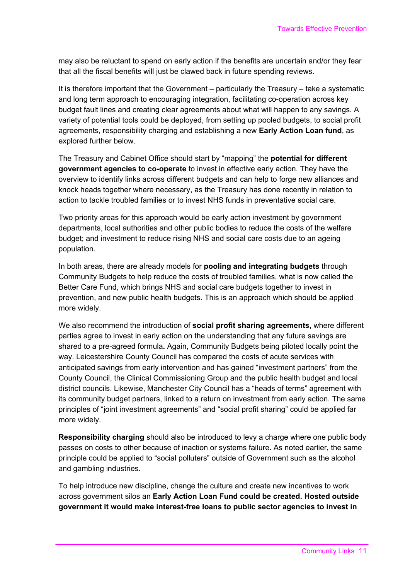may also be reluctant to spend on early action if the benefits are uncertain and/or they fear that all the fiscal benefits will just be clawed back in future spending reviews.

It is therefore important that the Government – particularly the Treasury – take a systematic and long term approach to encouraging integration, facilitating co-operation across key budget fault lines and creating clear agreements about what will happen to any savings. A variety of potential tools could be deployed, from setting up pooled budgets, to social profit agreements, responsibility charging and establishing a new **Early Action Loan fund**, as explored further below.

The Treasury and Cabinet Office should start by "mapping" the **potential for different government agencies to co-operate** to invest in effective early action. They have the overview to identify links across different budgets and can help to forge new alliances and knock heads together where necessary, as the Treasury has done recently in relation to action to tackle troubled families or to invest NHS funds in preventative social care.

Two priority areas for this approach would be early action investment by government departments, local authorities and other public bodies to reduce the costs of the welfare budget; and investment to reduce rising NHS and social care costs due to an ageing population.

In both areas, there are already models for **pooling and integrating budgets** through Community Budgets to help reduce the costs of troubled families, what is now called the Better Care Fund, which brings NHS and social care budgets together to invest in prevention, and new public health budgets. This is an approach which should be applied more widely.

We also recommend the introduction of **social profit sharing agreements,** where different parties agree to invest in early action on the understanding that any future savings are shared to a pre-agreed formula**.** Again, Community Budgets being piloted locally point the way. Leicestershire County Council has compared the costs of acute services with anticipated savings from early intervention and has gained "investment partners" from the County Council, the Clinical Commissioning Group and the public health budget and local district councils. Likewise, Manchester City Council has a "heads of terms" agreement with its community budget partners, linked to a return on investment from early action. The same principles of "joint investment agreements" and "social profit sharing" could be applied far more widely.

**Responsibility charging** should also be introduced to levy a charge where one public body passes on costs to other because of inaction or systems failure. As noted earlier, the same principle could be applied to "social polluters" outside of Government such as the alcohol and gambling industries.

To help introduce new discipline, change the culture and create new incentives to work across government silos an **Early Action Loan Fund could be created. Hosted outside government it would make interest-free loans to public sector agencies to invest in**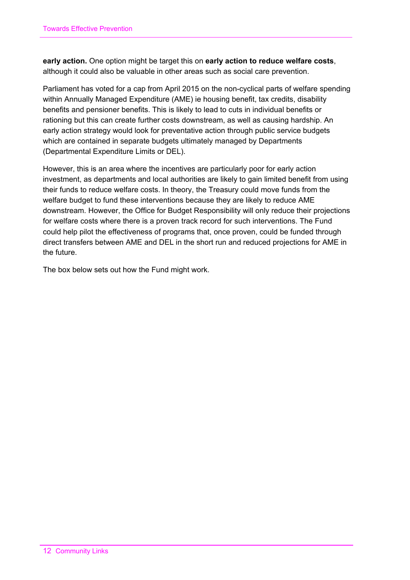**early action.** One option might be target this on **early action to reduce welfare costs**, although it could also be valuable in other areas such as social care prevention.

Parliament has voted for a cap from April 2015 on the non-cyclical parts of welfare spending within Annually Managed Expenditure (AME) ie housing benefit, tax credits, disability benefits and pensioner benefits. This is likely to lead to cuts in individual benefits or rationing but this can create further costs downstream, as well as causing hardship. An early action strategy would look for preventative action through public service budgets which are contained in separate budgets ultimately managed by Departments (Departmental Expenditure Limits or DEL).

However, this is an area where the incentives are particularly poor for early action investment, as departments and local authorities are likely to gain limited benefit from using their funds to reduce welfare costs. In theory, the Treasury could move funds from the welfare budget to fund these interventions because they are likely to reduce AME downstream. However, the Office for Budget Responsibility will only reduce their projections for welfare costs where there is a proven track record for such interventions. The Fund could help pilot the effectiveness of programs that, once proven, could be funded through direct transfers between AME and DEL in the short run and reduced projections for AME in the future.

The box below sets out how the Fund might work.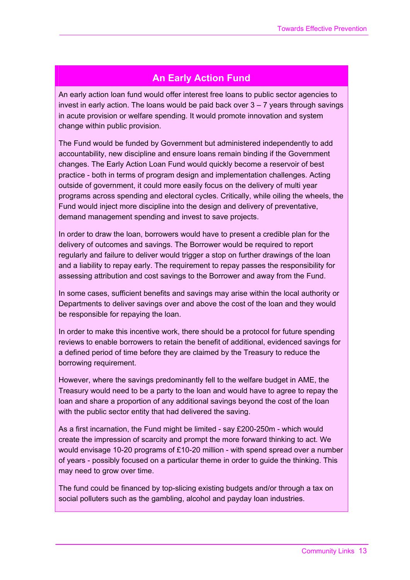### **An Early Action Fund**

An early action loan fund would offer interest free loans to public sector agencies to invest in early action. The loans would be paid back over  $3 - 7$  years through savings in acute provision or welfare spending. It would promote innovation and system change within public provision.

The Fund would be funded by Government but administered independently to add accountability, new discipline and ensure loans remain binding if the Government changes. The Early Action Loan Fund would quickly become a reservoir of best practice - both in terms of program design and implementation challenges. Acting outside of government, it could more easily focus on the delivery of multi year programs across spending and electoral cycles. Critically, while oiling the wheels, the Fund would inject more discipline into the design and delivery of preventative, demand management spending and invest to save projects.

In order to draw the loan, borrowers would have to present a credible plan for the delivery of outcomes and savings. The Borrower would be required to report regularly and failure to deliver would trigger a stop on further drawings of the loan and a liability to repay early. The requirement to repay passes the responsibility for assessing attribution and cost savings to the Borrower and away from the Fund.

In some cases, sufficient benefits and savings may arise within the local authority or Departments to deliver savings over and above the cost of the loan and they would be responsible for repaying the loan.

In order to make this incentive work, there should be a protocol for future spending reviews to enable borrowers to retain the benefit of additional, evidenced savings for a defined period of time before they are claimed by the Treasury to reduce the borrowing requirement.

However, where the savings predominantly fell to the welfare budget in AME, the Treasury would need to be a party to the loan and would have to agree to repay the loan and share a proportion of any additional savings beyond the cost of the loan with the public sector entity that had delivered the saving.

As a first incarnation, the Fund might be limited - say £200-250m - which would create the impression of scarcity and prompt the more forward thinking to act. We would envisage 10-20 programs of £10-20 million - with spend spread over a number of years - possibly focused on a particular theme in order to guide the thinking. This may need to grow over time.

The fund could be financed by top-slicing existing budgets and/or through a tax on social polluters such as the gambling, alcohol and payday loan industries.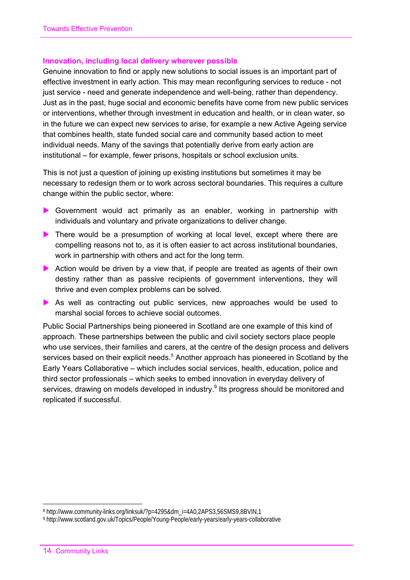### **Innovation, including local delivery wherever possible**

Genuine innovation to find or apply new solutions to social issues is an important part of effective investment in early action. This may mean reconfiguring services to reduce - not just service - need and generate independence and well-being, rather than dependency. Just as in the past, huge social and economic benefits have come from new public services or interventions, whether through investment in education and health, or in clean water, so in the future we can expect new services to arise, for example a new Active Ageing service that combines health, state funded social care and community based action to meet individual needs. Many of the savings that potentially derive from early action are institutional – for example, fewer prisons, hospitals or school exclusion units.

This is not just a question of joining up existing institutions but sometimes it may be necessary to redesign them or to work across sectoral boundaries. This requires a culture change within the public sector, where:

- Government would act primarily as an enabler, working in partnership with individuals and voluntary and private organizations to deliver change.
- There would be a presumption of working at local level, except where there are compelling reasons not to, as it is often easier to act across institutional boundaries, work in partnership with others and act for the long term.
- Action would be driven by a view that, if people are treated as agents of their own destiny rather than as passive recipients of government interventions, they will thrive and even complex problems can be solved.
- As well as contracting out public services, new approaches would be used to marshal social forces to achieve social outcomes.

Public Social Partnerships being pioneered in Scotland are one example of this kind of approach. These partnerships between the public and civil society sectors place people who use services, their families and carers, at the centre of the design process and delivers services based on their explicit needs.<sup>8</sup> Another approach has pioneered in Scotland by the Early Years Collaborative – which includes social services, health, education, police and third sector professionals – which seeks to embed innovation in everyday delivery of services, drawing on models developed in industry.<sup>9</sup> Its progress should be monitored and replicated if successful.

 $\ddot{ }$ 

<sup>8</sup> http://www.community-links.org/linksuk/?p=4295&dm\_i=4A0,2APS3,56SMS9,8BVIN,1

<sup>9</sup> http://www.scotland.gov.uk/Topics/People/Young-People/early-years/early-years-collaborative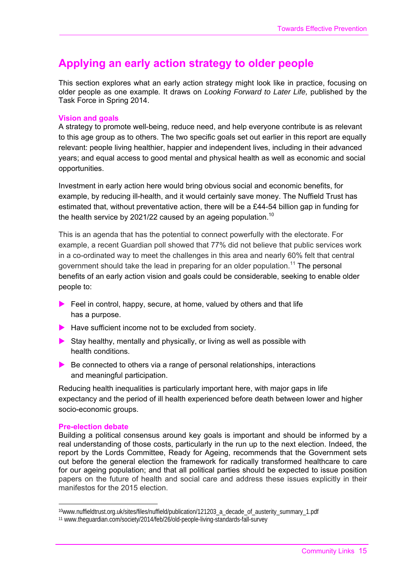# **Applying an early action strategy to older people**

This section explores what an early action strategy might look like in practice, focusing on older people as one example*.* It draws on *Looking Forward to Later Life,* published by the Task Force in Spring 2014.

### **Vision and goals**

A strategy to promote well-being, reduce need, and help everyone contribute is as relevant to this age group as to others. The two specific goals set out earlier in this report are equally relevant: people living healthier, happier and independent lives, including in their advanced years; and equal access to good mental and physical health as well as economic and social opportunities.

Investment in early action here would bring obvious social and economic benefits, for example, by reducing ill-health, and it would certainly save money. The Nuffield Trust has estimated that, without preventative action, there will be a £44-54 billion gap in funding for the health service by 2021/22 caused by an ageing population.<sup>10</sup>

This is an agenda that has the potential to connect powerfully with the electorate. For example, a recent Guardian poll showed that 77% did not believe that public services work in a co-ordinated way to meet the challenges in this area and nearly 60% felt that central government should take the lead in preparing for an older population.<sup>11</sup> The personal benefits of an early action vision and goals could be considerable, seeking to enable older people to:

- Feel in control, happy, secure, at home, valued by others and that life has a purpose.
- $\blacktriangleright$  Have sufficient income not to be excluded from society.
- Stay healthy, mentally and physically, or living as well as possible with health conditions.
- $\blacktriangleright$  Be connected to others via a range of personal relationships, interactions and meaningful participation.

Reducing health inequalities is particularly important here, with major gaps in life expectancy and the period of ill health experienced before death between lower and higher socio-economic groups.

### **Pre-election debate**

-

Building a political consensus around key goals is important and should be informed by a real understanding of those costs, particularly in the run up to the next election. Indeed, the report by the Lords Committee, Ready for Ageing, recommends that the Government sets out before the general election the framework for radically transformed healthcare to care for our ageing population; and that all political parties should be expected to issue position papers on the future of health and social care and address these issues explicitly in their manifestos for the 2015 election.

<sup>&</sup>lt;sup>10</sup>www.nuffieldtrust.org.uk/sites/files/nuffield/publication/121203\_a\_decade\_of\_austerity\_summary\_1.pdf

<sup>11</sup> www.theguardian.com/society/2014/feb/26/old-people-living-standards-fall-survey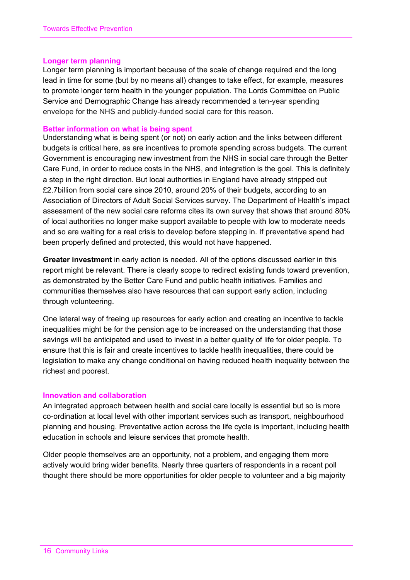### **Longer term planning**

Longer term planning is important because of the scale of change required and the long lead in time for some (but by no means all) changes to take effect, for example, measures to promote longer term health in the younger population. The Lords Committee on Public Service and Demographic Change has already recommended a ten-year spending envelope for the NHS and publicly-funded social care for this reason.

### **Better information on what is being spent**

Understanding what is being spent (or not) on early action and the links between different budgets is critical here, as are incentives to promote spending across budgets. The current Government is encouraging new investment from the NHS in social care through the Better Care Fund, in order to reduce costs in the NHS, and integration is the goal. This is definitely a step in the right direction. But local authorities in England have already stripped out £2.7billion from social care since 2010, around 20% of their budgets, according to an Association of Directors of Adult Social Services survey. The Department of Health's impact assessment of the new social care reforms cites its own survey that shows that around 80% of local authorities no longer make support available to people with low to moderate needs and so are waiting for a real crisis to develop before stepping in. If preventative spend had been properly defined and protected, this would not have happened.

**Greater investment** in early action is needed. All of the options discussed earlier in this report might be relevant. There is clearly scope to redirect existing funds toward prevention, as demonstrated by the Better Care Fund and public health initiatives. Families and communities themselves also have resources that can support early action, including through volunteering.

One lateral way of freeing up resources for early action and creating an incentive to tackle inequalities might be for the pension age to be increased on the understanding that those savings will be anticipated and used to invest in a better quality of life for older people. To ensure that this is fair and create incentives to tackle health inequalities, there could be legislation to make any change conditional on having reduced health inequality between the richest and poorest.

### **Innovation and collaboration**

An integrated approach between health and social care locally is essential but so is more co-ordination at local level with other important services such as transport, neighbourhood planning and housing. Preventative action across the life cycle is important, including health education in schools and leisure services that promote health.

Older people themselves are an opportunity, not a problem, and engaging them more actively would bring wider benefits. Nearly three quarters of respondents in a recent poll thought there should be more opportunities for older people to volunteer and a big majority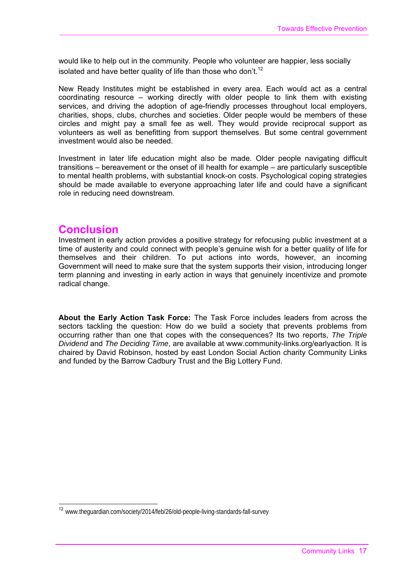would like to help out in the community. People who volunteer are happier, less socially isolated and have better quality of life than those who don't.<sup>12</sup>

New Ready Institutes might be established in every area. Each would act as a central coordinating resource – working directly with older people to link them with existing services, and driving the adoption of age-friendly processes throughout local employers, charities, shops, clubs, churches and societies. Older people would be members of these circles and might pay a small fee as well. They would provide reciprocal support as volunteers as well as benefitting from support themselves. But some central government investment would also be needed.

Investment in later life education might also be made. Older people navigating difficult transitions – bereavement or the onset of ill health for example – are particularly susceptible to mental health problems, with substantial knock-on costs. Psychological coping strategies should be made available to everyone approaching later life and could have a significant role in reducing need downstream.

### **Conclusion**

Investment in early action provides a positive strategy for refocusing public investment at a time of austerity and could connect with people's genuine wish for a better quality of life for themselves and their children. To put actions into words, however, an incoming Government will need to make sure that the system supports their vision, introducing longer term planning and investing in early action in ways that genuinely incentivize and promote radical change.

**About the Early Action Task Force:** The Task Force includes leaders from across the sectors tackling the question: How do we build a society that prevents problems from occurring rather than one that copes with the consequences? Its two reports, *The Triple Dividend* and *The Deciding Time*, are available at www.community-links.org/earlyaction. It is chaired by David Robinson, hosted by east London Social Action charity Community Links and funded by the Barrow Cadbury Trust and the Big Lottery Fund.

<sup>&</sup>lt;sup>12</sup> www.theguardian.com/society/2014/feb/26/old-people-living-standards-fall-survey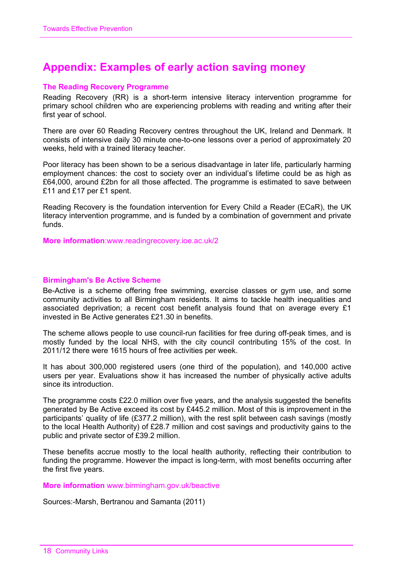# **Appendix: Examples of early action saving money**

### **The Reading Recovery Programme**

Reading Recovery (RR) is a short-term intensive literacy intervention programme for primary school children who are experiencing problems with reading and writing after their first year of school.

There are over 60 Reading Recovery centres throughout the UK, Ireland and Denmark. It consists of intensive daily 30 minute one-to-one lessons over a period of approximately 20 weeks, held with a trained literacy teacher.

Poor literacy has been shown to be a serious disadvantage in later life, particularly harming employment chances: the cost to society over an individual's lifetime could be as high as £64,000, around £2bn for all those affected. The programme is estimated to save between £11 and £17 per £1 spent.

Reading Recovery is the foundation intervention for Every Child a Reader (ECaR), the UK literacy intervention programme, and is funded by a combination of government and private funds.

**More information**:www.readingrecovery.ioe.ac.uk/2

### **Birmingham's Be Active Scheme**

Be-Active is a scheme offering free swimming, exercise classes or gym use, and some community activities to all Birmingham residents. It aims to tackle health inequalities and associated deprivation; a recent cost benefit analysis found that on average every £1 invested in Be Active generates £21.30 in benefits.

The scheme allows people to use council-run facilities for free during off-peak times, and is mostly funded by the local NHS, with the city council contributing 15% of the cost. In 2011/12 there were 1615 hours of free activities per week.

It has about 300,000 registered users (one third of the population), and 140,000 active users per year. Evaluations show it has increased the number of physically active adults since its introduction.

The programme costs £22.0 million over five years, and the analysis suggested the benefits generated by Be Active exceed its cost by £445.2 million. Most of this is improvement in the participants' quality of life (£377.2 million), with the rest split between cash savings (mostly to the local Health Authority) of £28.7 million and cost savings and productivity gains to the public and private sector of £39.2 million.

These benefits accrue mostly to the local health authority, reflecting their contribution to funding the programme. However the impact is long-term, with most benefits occurring after the first five years.

**More information** www.birmingham.gov.uk/beactive

Sources:-Marsh, Bertranou and Samanta (2011)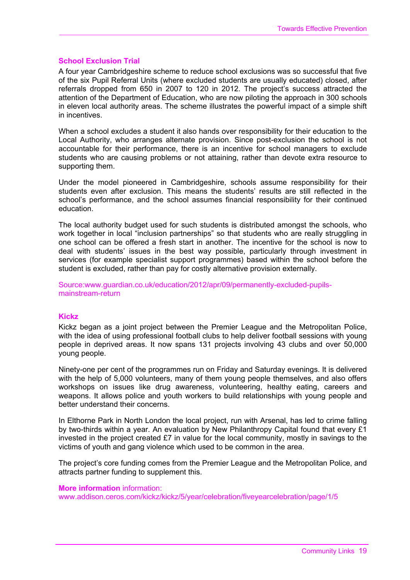### **School Exclusion Trial**

A four year Cambridgeshire scheme to reduce school exclusions was so successful that five of the six Pupil Referral Units (where excluded students are usually educated) closed, after referrals dropped from 650 in 2007 to 120 in 2012. The project's success attracted the attention of the Department of Education, who are now piloting the approach in 300 schools in eleven local authority areas. The scheme illustrates the powerful impact of a simple shift in incentives.

When a school excludes a student it also hands over responsibility for their education to the Local Authority, who arranges alternate provision. Since post-exclusion the school is not accountable for their performance, there is an incentive for school managers to exclude students who are causing problems or not attaining, rather than devote extra resource to supporting them.

Under the model pioneered in Cambridgeshire, schools assume responsibility for their students even after exclusion. This means the students' results are still reflected in the school's performance, and the school assumes financial responsibility for their continued education.

The local authority budget used for such students is distributed amongst the schools, who work together in local "inclusion partnerships" so that students who are really struggling in one school can be offered a fresh start in another. The incentive for the school is now to deal with students' issues in the best way possible, particularly through investment in services (for example specialist support programmes) based within the school before the student is excluded, rather than pay for costly alternative provision externally.

Source:www.guardian.co.uk/education/2012/apr/09/permanently-excluded-pupilsmainstream-return

### **Kickz**

Kickz began as a joint project between the Premier League and the Metropolitan Police, with the idea of using professional football clubs to help deliver football sessions with young people in deprived areas. It now spans 131 projects involving 43 clubs and over 50,000 young people.

Ninety-one per cent of the programmes run on Friday and Saturday evenings. It is delivered with the help of 5,000 volunteers, many of them young people themselves, and also offers workshops on issues like drug awareness, volunteering, healthy eating, careers and weapons. It allows police and youth workers to build relationships with young people and better understand their concerns.

In Elthorne Park in North London the local project, run with Arsenal, has led to crime falling by two-thirds within a year. An evaluation by New Philanthropy Capital found that every £1 invested in the project created £7 in value for the local community, mostly in savings to the victims of youth and gang violence which used to be common in the area.

The project's core funding comes from the Premier League and the Metropolitan Police, and attracts partner funding to supplement this.

### **More information** information:

www.addison.ceros.com/kickz/kickz/5/year/celebration/fiveyearcelebration/page/1/5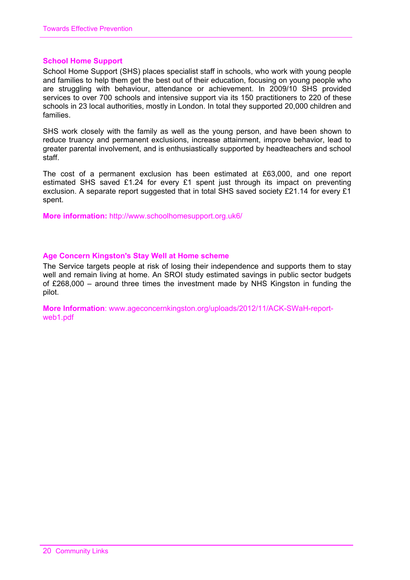### **School Home Support**

School Home Support (SHS) places specialist staff in schools, who work with young people and families to help them get the best out of their education, focusing on young people who are struggling with behaviour, attendance or achievement. In 2009/10 SHS provided services to over 700 schools and intensive support via its 150 practitioners to 220 of these schools in 23 local authorities, mostly in London. In total they supported 20,000 children and families.

SHS work closely with the family as well as the young person, and have been shown to reduce truancy and permanent exclusions, increase attainment, improve behavior, lead to greater parental involvement, and is enthusiastically supported by headteachers and school staff.

The cost of a permanent exclusion has been estimated at £63,000, and one report estimated SHS saved £1.24 for every £1 spent just through its impact on preventing exclusion. A separate report suggested that in total SHS saved society £21.14 for every £1 spent.

**More information:** http://www.schoolhomesupport.org.uk6/

### **Age Concern Kingston's Stay Well at Home scheme**

The Service targets people at risk of losing their independence and supports them to stay well and remain living at home. An SROI study estimated savings in public sector budgets of £268,000 – around three times the investment made by NHS Kingston in funding the pilot.

**More Information**: www.ageconcernkingston.org/uploads/2012/11/ACK-SWaH-reportweb1.pdf